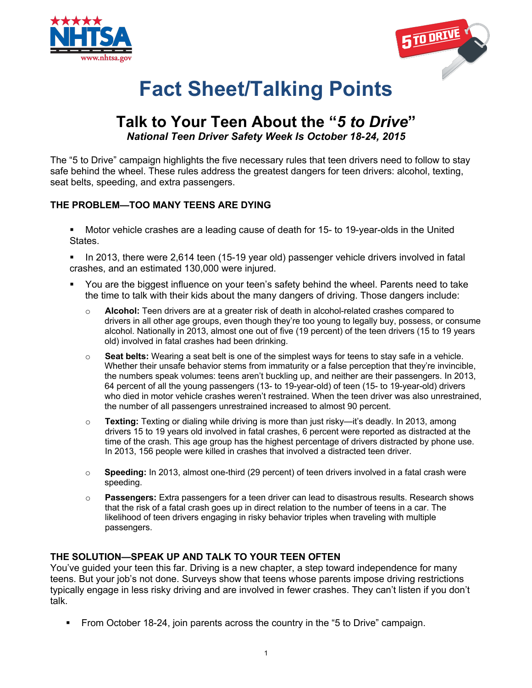



# **Fact Sheet/Talking Points**

# **Talk to Your Teen About the "***5 to Drive***"** *National Teen Driver Safety Week Is October 18-24, 2015*

The "5 to Drive" campaign highlights the five necessary rules that teen drivers need to follow to stay safe behind the wheel. These rules address the greatest dangers for teen drivers: alcohol, texting, seat belts, speeding, and extra passengers.

## **THE PROBLEM—TOO MANY TEENS ARE DYING**

§ Motor vehicle crashes are a leading cause of death for 15- to 19-year-olds in the United States.

In 2013, there were 2,614 teen (15-19 year old) passenger vehicle drivers involved in fatal crashes, and an estimated 130,000 were injured.

- § You are the biggest influence on your teen's safety behind the wheel. Parents need to take the time to talk with their kids about the many dangers of driving. Those dangers include:
	- o **Alcohol:** Teen drivers are at a greater risk of death in alcohol-related crashes compared to drivers in all other age groups, even though they're too young to legally buy, possess, or consume alcohol. Nationally in 2013, almost one out of five (19 percent) of the teen drivers (15 to 19 years old) involved in fatal crashes had been drinking.
	- o **Seat belts:** Wearing a seat belt is one of the simplest ways for teens to stay safe in a vehicle. Whether their unsafe behavior stems from immaturity or a false perception that they're invincible, the numbers speak volumes: teens aren't buckling up, and neither are their passengers. In 2013, 64 percent of all the young passengers (13- to 19-year-old) of teen (15- to 19-year-old) drivers who died in motor vehicle crashes weren't restrained. When the teen driver was also unrestrained, the number of all passengers unrestrained increased to almost 90 percent.
	- o **Texting:** Texting or dialing while driving is more than just risky—it's deadly. In 2013, among drivers 15 to 19 years old involved in fatal crashes, 6 percent were reported as distracted at the time of the crash. This age group has the highest percentage of drivers distracted by phone use. In 2013, 156 people were killed in crashes that involved a distracted teen driver.
	- o **Speeding:** In 2013, almost one-third (29 percent) of teen drivers involved in a fatal crash were speeding.
	- o **Passengers:** Extra passengers for a teen driver can lead to disastrous results. Research shows that the risk of a fatal crash goes up in direct relation to the number of teens in a car. The likelihood of teen drivers engaging in risky behavior triples when traveling with multiple passengers.

## **THE SOLUTION—SPEAK UP AND TALK TO YOUR TEEN OFTEN**

You've guided your teen this far. Driving is a new chapter, a step toward independence for many teens. But your job's not done. Surveys show that teens whose parents impose driving restrictions typically engage in less risky driving and are involved in fewer crashes. They can't listen if you don't talk.

§ From October 18-24, join parents across the country in the "5 to Drive" campaign.